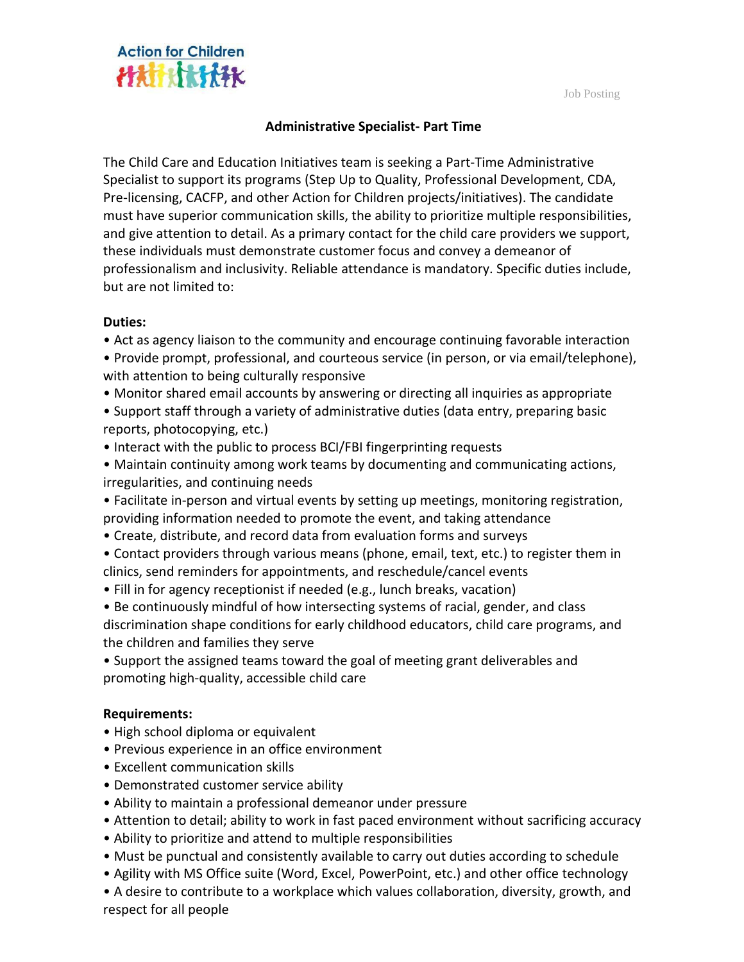Job Posting



# **Administrative Specialist- Part Time**

The Child Care and Education Initiatives team is seeking a Part-Time Administrative Specialist to support its programs (Step Up to Quality, Professional Development, CDA, Pre-licensing, CACFP, and other Action for Children projects/initiatives). The candidate must have superior communication skills, the ability to prioritize multiple responsibilities, and give attention to detail. As a primary contact for the child care providers we support, these individuals must demonstrate customer focus and convey a demeanor of professionalism and inclusivity. Reliable attendance is mandatory. Specific duties include, but are not limited to:

## **Duties:**

- Act as agency liaison to the community and encourage continuing favorable interaction
- Provide prompt, professional, and courteous service (in person, or via email/telephone), with attention to being culturally responsive
- Monitor shared email accounts by answering or directing all inquiries as appropriate
- Support staff through a variety of administrative duties (data entry, preparing basic reports, photocopying, etc.)
- Interact with the public to process BCI/FBI fingerprinting requests
- Maintain continuity among work teams by documenting and communicating actions, irregularities, and continuing needs
- Facilitate in-person and virtual events by setting up meetings, monitoring registration, providing information needed to promote the event, and taking attendance
- Create, distribute, and record data from evaluation forms and surveys
- Contact providers through various means (phone, email, text, etc.) to register them in clinics, send reminders for appointments, and reschedule/cancel events
- Fill in for agency receptionist if needed (e.g., lunch breaks, vacation)
- Be continuously mindful of how intersecting systems of racial, gender, and class discrimination shape conditions for early childhood educators, child care programs, and the children and families they serve
- Support the assigned teams toward the goal of meeting grant deliverables and promoting high-quality, accessible child care

## **Requirements:**

- High school diploma or equivalent
- Previous experience in an office environment
- Excellent communication skills
- Demonstrated customer service ability
- Ability to maintain a professional demeanor under pressure
- Attention to detail; ability to work in fast paced environment without sacrificing accuracy
- Ability to prioritize and attend to multiple responsibilities
- Must be punctual and consistently available to carry out duties according to schedule
- Agility with MS Office suite (Word, Excel, PowerPoint, etc.) and other office technology
- A desire to contribute to a workplace which values collaboration, diversity, growth, and respect for all people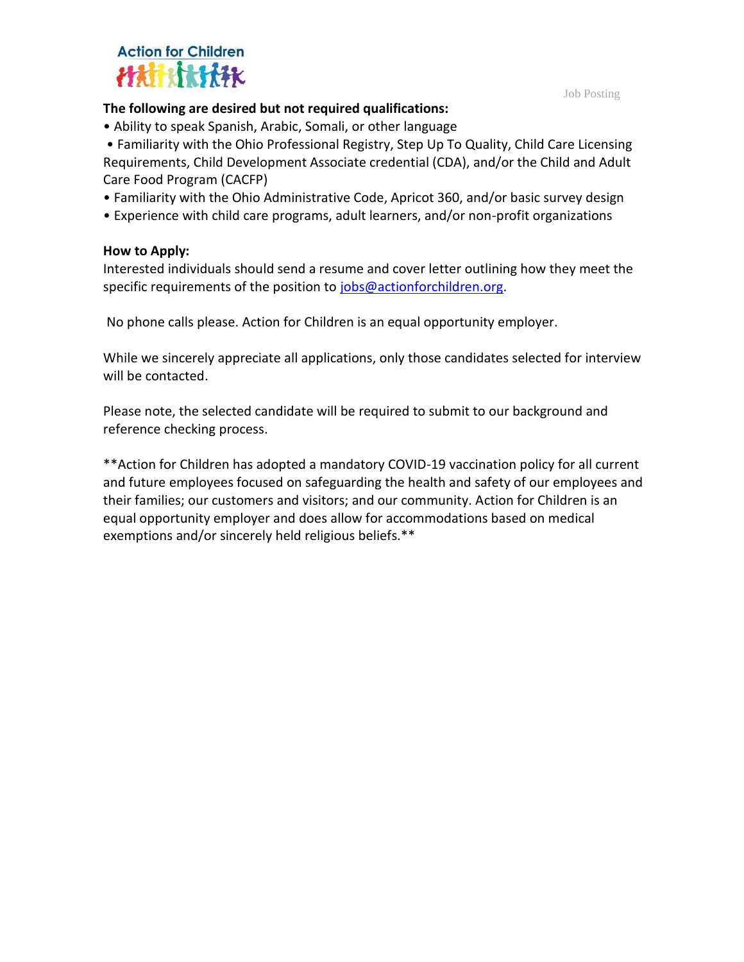



## **The following are desired but not required qualifications:**

• Ability to speak Spanish, Arabic, Somali, or other language

• Familiarity with the Ohio Professional Registry, Step Up To Quality, Child Care Licensing Requirements, Child Development Associate credential (CDA), and/or the Child and Adult Care Food Program (CACFP)

- Familiarity with the Ohio Administrative Code, Apricot 360, and/or basic survey design
- Experience with child care programs, adult learners, and/or non-profit organizations

#### **How to Apply:**

Interested individuals should send a resume and cover letter outlining how they meet the specific requirements of the position to [jobs@actionforchildren.org.](mailto:jobs@actionforchildren.org)

No phone calls please. Action for Children is an equal opportunity employer.

While we sincerely appreciate all applications, only those candidates selected for interview will be contacted.

Please note, the selected candidate will be required to submit to our background and reference checking process.

\*\*Action for Children has adopted a mandatory COVID-19 vaccination policy for all current and future employees focused on safeguarding the health and safety of our employees and their families; our customers and visitors; and our community. Action for Children is an equal opportunity employer and does allow for accommodations based on medical exemptions and/or sincerely held religious beliefs.\*\*